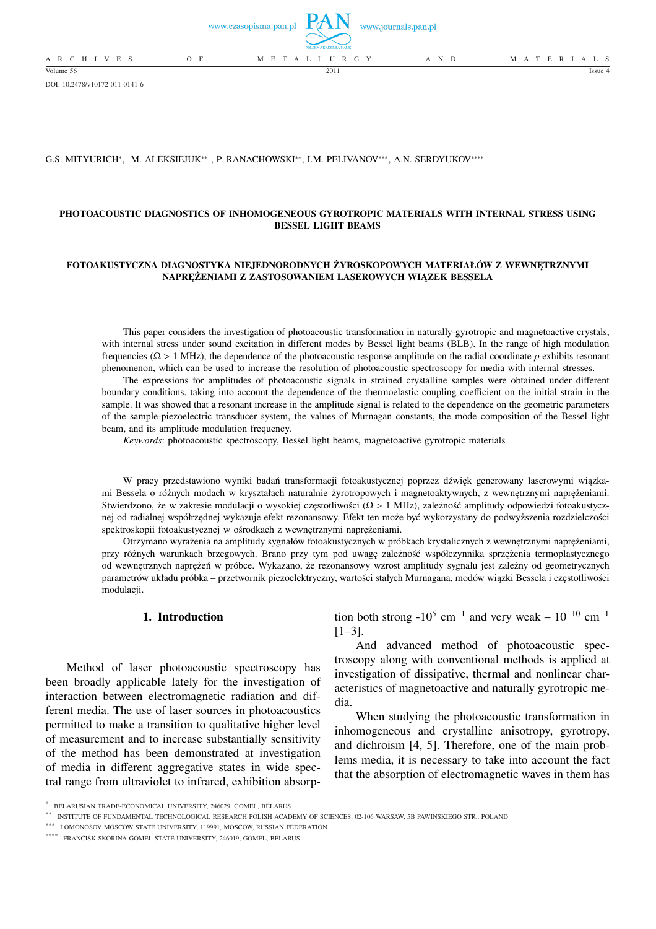

DOI: 10.2478/v10172-011-0141-6

#### G.S. MITYURICH<sup>∗</sup> , M. ALEKSIEJUK∗∗ , P. RANACHOWSKI∗∗, I.M. PELIVANOV∗∗∗, A.N. SERDYUKOV∗∗∗∗

## **PHOTOACOUSTIC DIAGNOSTICS OF INHOMOGENEOUS GYROTROPIC MATERIALS WITH INTERNAL STRESS USING BESSEL LIGHT BEAMS**

### **FOTOAKUSTYCZNA DIAGNOSTYKA NIEJEDNORODNYCH ŻYROSKOPOWYCH MATERIAŁÓW Z WEWNĘTRZNYMI NAPRĘŻENIAMI Z ZASTOSOWANIEM LASEROWYCH WIĄZEK BESSELA**

This paper considers the investigation of photoacoustic transformation in naturally-gyrotropic and magnetoactive crystals, with internal stress under sound excitation in different modes by Bessel light beams (BLB). In the range of high modulation frequencies ( $\Omega > 1$  MHz), the dependence of the photoacoustic response amplitude on the radial coordinate  $\rho$  exhibits resonant phenomenon, which can be used to increase the resolution of photoacoustic spectroscopy for media with internal stresses.

The expressions for amplitudes of photoacoustic signals in strained crystalline samples were obtained under different boundary conditions, taking into account the dependence of the thermoelastic coupling coefficient on the initial strain in the sample. It was showed that a resonant increase in the amplitude signal is related to the dependence on the geometric parameters of the sample-piezoelectric transducer system, the values of Murnagan constants, the mode composition of the Bessel light beam, and its amplitude modulation frequency.

*Keywords*: photoacoustic spectroscopy, Bessel light beams, magnetoactive gyrotropic materials

W pracy przedstawiono wyniki badań transformacji fotoakustycznej poprzez dźwięk generowany laserowymi wiązkami Bessela o różnych modach w kryształach naturalnie żyrotropowych i magnetoaktywnych, z wewnętrznymi naprężeniami. Stwierdzono, że w zakresie modulacji o wysokiej częstotliwości (Ω > 1 MHz), zależność amplitudy odpowiedzi fotoakustycznej od radialnej współrzędnej wykazuje efekt rezonansowy. Efekt ten może być wykorzystany do podwyższenia rozdzielczości spektroskopii fotoakustycznej w ośrodkach z wewnętrznymi naprężeniami.

Otrzymano wyrażenia na amplitudy sygnałów fotoakustycznych w próbkach krystalicznych z wewnętrznymi naprężeniami, przy różnych warunkach brzegowych. Brano przy tym pod uwagę zależność współczynnika sprzężenia termoplastycznego od wewnętrznych naprężeń w próbce. Wykazano, że rezonansowy wzrost amplitudy sygnału jest zależny od geometrycznych parametrów układu próbka – przetwornik piezoelektryczny, wartości stałych Murnagana, modów wiązki Bessela i częstotliwości modulacji.

# **1. Introduction**

Method of laser photoacoustic spectroscopy has been broadly applicable lately for the investigation of interaction between electromagnetic radiation and different media. The use of laser sources in photoacoustics permitted to make a transition to qualitative higher level of measurement and to increase substantially sensitivity of the method has been demonstrated at investigation of media in different aggregative states in wide spectral range from ultraviolet to infrared, exhibition absorp-

tion both strong -10<sup>5</sup> cm<sup>-1</sup> and very weak – 10<sup>-10</sup> cm<sup>-1</sup>  $[1-3]$ .

And advanced method of photoacoustic spectroscopy along with conventional methods is applied at investigation of dissipative, thermal and nonlinear characteristics of magnetoactive and naturally gyrotropic media.

When studying the photoacoustic transformation in inhomogeneous and crystalline anisotropy, gyrotropy, and dichroism [4, 5]. Therefore, one of the main problems media, it is necessary to take into account the fact that the absorption of electromagnetic waves in them has

<sup>∗</sup> BELARUSIAN TRADE-ECONOMICAL UNIVERSITY, 246029, GOMEL, BELARUS

<sup>∗∗</sup> INSTITUTE OF FUNDAMENTAL TECHNOLOGICAL RESEARCH POLISH ACADEMY OF SCIENCES, 02-106 WARSAW, 5B PAWINSKIEGO STR., POLAND

<sup>∗∗∗</sup> LOMONOSOV MOSCOW STATE UNIVERSITY, 119991, MOSCOW, RUSSIAN FEDERATION

<sup>∗∗∗∗</sup> FRANCISK SKORINA GOMEL STATE UNIVERSITY, 246019, GOMEL, BELARUS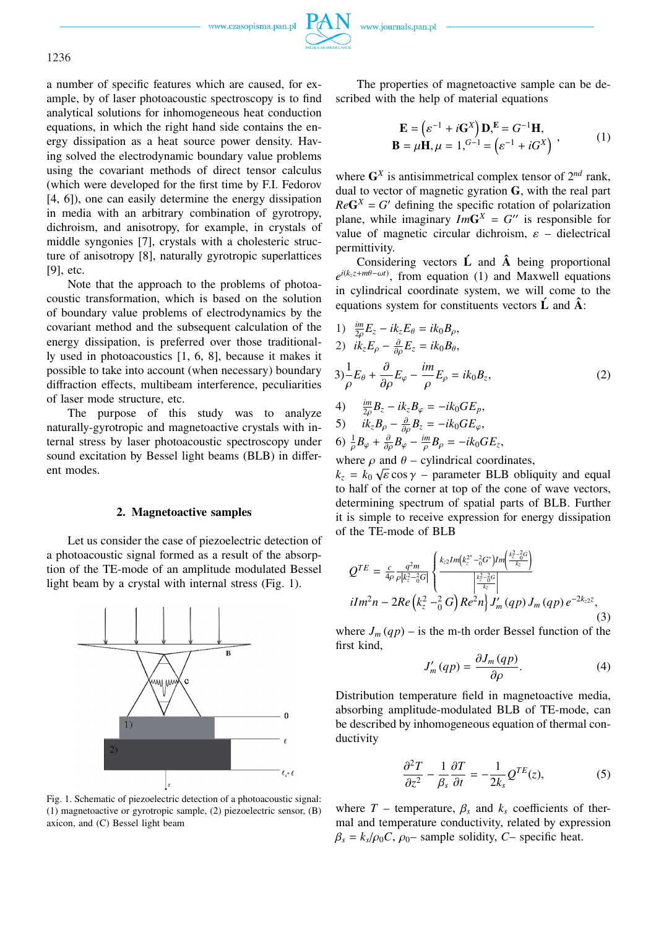www.czasopisma.pan.pl



a number of specific features which are caused, for example, by of laser photoacoustic spectroscopy is to find analytical solutions for inhomogeneous heat conduction equations, in which the right hand side contains the energy dissipation as a heat source power density. Having solved the electrodynamic boundary value problems using the covariant methods of direct tensor calculus (which were developed for the first time by F.I. Fedorov [4, 6]), one can easily determine the energy dissipation in media with an arbitrary combination of gyrotropy, dichroism, and anisotropy, for example, in crystals of middle syngonies [7], crystals with a cholesteric structure of anisotropy [8], naturally gyrotropic superlattices [9], etc.

Note that the approach to the problems of photoacoustic transformation, which is based on the solution of boundary value problems of electrodynamics by the covariant method and the subsequent calculation of the energy dissipation, is preferred over those traditionally used in photoacoustics [1, 6, 8], because it makes it possible to take into account (when necessary) boundary diffraction effects, multibeam interference, peculiarities of laser mode structure, etc.

The purpose of this study was to analyze naturally-gyrotropic and magnetoactive crystals with internal stress by laser photoacoustic spectroscopy under sound excitation by Bessel light beams (BLB) in different modes.

### **2. Magnetoactive samples**

Let us consider the case of piezoelectric detection of a photoacoustic signal formed as a result of the absorption of the TE-mode of an amplitude modulated Bessel light beam by a crystal with internal stress (Fig. 1).



Fig. 1. Schematic of piezoelectric detection of a photoacoustic signal: (1) magnetoactive or gyrotropic sample, (2) piezoelectric sensor, (B) axicon, and (C) Bessel light beam

The properties of magnetoactive sample can be described with the help of material equations

$$
\mathbf{E} = (\varepsilon^{-1} + i\mathbf{G}^{X})\mathbf{D}, \mathbf{E} = G^{-1}\mathbf{H},
$$
  

$$
\mathbf{B} = \mu\mathbf{H}, \mu = 1,^{G-1} = (\varepsilon^{-1} + iG^{X})
$$
 (1)

where  $G^X$  is antisimmetrical complex tensor of  $2^{nd}$  rank, dual to vector of magnetic gyration **G**, with the real part  $Re\mathbf{G}^X = G'$  defining the specific rotation of polarization plane, while imaginary  $ImG^{X} = G''$  is responsible for value of magnetic circular dichroism,  $\varepsilon$  – dielectrical permittivity.

Considering vectors **L´** and **Aˆ** being proportional  $e^{i(k_z z + m\theta - \omega t)}$ , from equation (1) and Maxwell equations in cylindrical coordinate system, we will come to the equations system for constituents vectors  $\hat{L}$  and  $\hat{A}$ :

1) 
$$
\frac{im}{2\rho}E_z - ik_zE_\theta = ik_0B_\rho,
$$
  
\n2)  $ik_zE_\rho - \frac{\partial}{\partial\rho}E_z = ik_0B_\theta,$   
\n3)  $\frac{1}{\rho}E_\theta + \frac{\partial}{\partial\rho}E_\varphi - \frac{im}{\rho}E_\rho = ik_0B_z,$   
\n4)  $\frac{im}{2\rho}B_z - ik_zB_\varphi = -ik_0GE_\rho,$  (2)

4) 
$$
\frac{im}{2\rho}B_z - ik_zB_\varphi = -ik_0GE_p,
$$

5) 
$$
ik_zB_\rho - \frac{\partial}{\partial \rho}B_z = -ik_0GE_\varphi
$$
,

6) 
$$
\frac{1}{\rho}B_{\varphi} + \frac{\partial}{\partial \rho}B_{\varphi} - \frac{im}{\rho}B_{\rho} = -ik_0GE_z
$$
,

where  $\rho$  and  $\theta$  – cylindrical coordinates,

 $k_z = k_0 \sqrt{\varepsilon} \cos \gamma$  – parameter BLB obliquity and equal to half of the corner at top of the cone of wave vectors, determining spectrum of spatial parts of BLB. Further it is simple to receive expression for energy dissipation of the TE-mode of BLB

$$
Q^{TE} = \frac{c}{4\rho} \frac{q^2 m}{\rho |k_z^2 - 0.07|} \left\{ \frac{k_{z2} Im\left(k_z^{2*} - 0.07* \right) Im\left(\frac{k_z^2 - 0.07}{k_z}\right)}{\left|\frac{k_z^2 - 0.07}{k_z}\right|} \right\}
$$
  
  $i Im^2 n - 2Re\left(k_z^2 - 0.07* \right) Re^2 n \left\} J'_m(qp) J_m(qp) e^{-2k_{z2}z},$  (3)

where  $J_m(qp)$  – is the m-th order Bessel function of the first kind,

$$
J'_m(qp) = \frac{\partial J_m(qp)}{\partial \rho}.
$$
 (4)

Distribution temperature field in magnetoactive media, absorbing amplitude-modulated BLB of TE-mode, can be described by inhomogeneous equation of thermal conductivity

$$
\frac{\partial^2 T}{\partial z^2} - \frac{1}{\beta_s} \frac{\partial T}{\partial t} = -\frac{1}{2k_s} Q^{TE}(z),\tag{5}
$$

where  $T$  – temperature,  $\beta_s$  and  $k_s$  coefficients of thermal and temperature conductivity, related by expression  $\beta_s = k_s/\rho_0 C$ ,  $\rho_0$ – sample solidity, *C*– specific heat.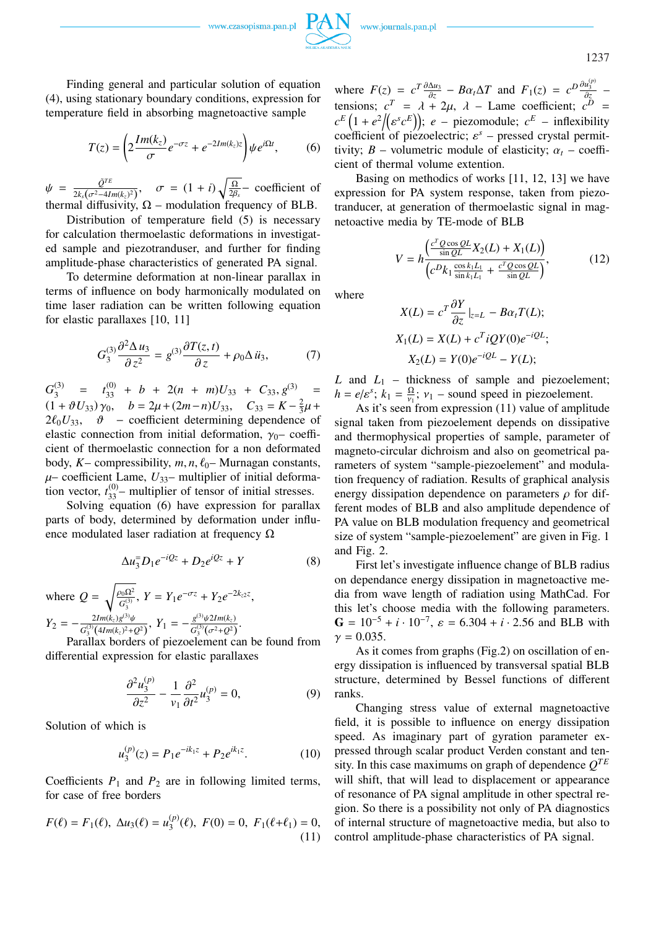www.czasopisma.pan.pl



1237

Finding general and particular solution of equation (4), using stationary boundary conditions, expression for temperature field in absorbing magnetoactive sample

$$
T(z) = \left(2\frac{Im(k_z)}{\sigma}e^{-\sigma z} + e^{-2Im(k_z)z}\right)\psi e^{i\Omega t},\qquad(6)
$$

 $\psi = \frac{\tilde{Q}^{TE}}{2k\sqrt{\pi^2-4L}}$  $\frac{Q^{iL}}{2k_s(\sigma^2-4Im(k_z)^2)}, \quad \sigma = (1+i)$  $\sqrt{\Omega}$  $\frac{\Omega}{2\beta_s}$  – coefficient of thermal diffusivity,  $\Omega$  – modulation frequency of BLB.

Distribution of temperature field (5) is necessary for calculation thermoelastic deformations in investigated sample and piezotranduser, and further for finding amplitude-phase characteristics of generated PA signal.

To determine deformation at non-linear parallax in terms of influence on body harmonically modulated on time laser radiation can be written following equation for elastic parallaxes [10, 11]

$$
G_3^{(3)}\frac{\partial^2 \Delta u_3}{\partial z^2} = g^{(3)}\frac{\partial T(z,t)}{\partial z} + \rho_0 \Delta \ddot{u}_3,\tag{7}
$$

 $G_3^{(3)}$  $t_{33}^{(3)} = t_{33}^{(0)} + b + 2(n + m)U_{33} + C_{33}, g^{(3)} =$  $(1 + \vartheta U_{33}) \gamma_0$ ,  $b = 2\mu + (2m - n)U_{33}$ ,  $C_{33} = K - \frac{2}{3}$  $\frac{2}{3}\mu +$  $2\ell_0 U_{33}$ ,  $\vartheta$  – coefficient determining dependence of elastic connection from initial deformation,  $\gamma_0$ – coefficient of thermoelastic connection for a non deformated body,  $K-$  compressibility,  $m, n, \ell_0$ – Murnagan constants,  $\mu$ – coefficient Lame,  $U_{33}$ – multiplier of initial deformation vector,  $t_{33}^{(0)}$  – multiplier of tensor of initial stresses.

Solving equation (6) have expression for parallax parts of body, determined by deformation under influence modulated laser radiation at frequency  $\Omega$ 

$$
\Delta u_3^{\dagger} D_1 e^{-iQz} + D_2 e^{iQz} + Y \tag{8}
$$

where  $Q =$ r  $\rho_0\Omega^2$  $\frac{\partial_0 \Omega^2}{G_3^{(3)}}$ ,  $Y = Y_1 e^{-\sigma z} + Y_2 e^{-2k_z z}$ ,  $Y_2 = -\frac{2Im(k_z)g^{(3)}\psi}{C^{(3)}(4Im(k_z)^2 + \psi)}$  $\frac{2Im(k_z)g^{(3)}\psi}{G_3^{(3)}(4Im(k_z)^2+Q^2)},\ Y_1=-\frac{g^{(3)}\psi 2Im(k_z)}{G_3^{(3)}(\sigma^2+Q^2)}$  $\frac{g^{(3)}\psi\sin(k_z)}{G_3^{(3)}(\sigma^2+Q^2)}$ .

Parallax borders of piezoelement can be found from differential expression for elastic parallaxes

$$
\frac{\partial^2 u_3^{(p)}}{\partial z^2} - \frac{1}{v_1} \frac{\partial^2}{\partial t^2} u_3^{(p)} = 0, \tag{9}
$$

Solution of which is

$$
u_3^{(p)}(z) = P_1 e^{-ik_1 z} + P_2 e^{ik_1 z}.
$$
 (10)

Coefficients  $P_1$  and  $P_2$  are in following limited terms, for case of free borders

$$
F(\ell) = F_1(\ell), \ \Delta u_3(\ell) = u_3^{(p)}(\ell), \ F(0) = 0, \ F_1(\ell + \ell_1) = 0,
$$
\n(11)

where  $F(z) = c^T \frac{\partial \Delta u_3}{\partial z} - B\alpha_t \Delta T$  and  $F_1(z) = c^D \frac{\partial u_3^{(p)}}{\partial z}$ tensions;  $c^T = \lambda + 2\mu$ ,  $\lambda$  – Lame coefficient;  $c^D =$ tensions;  $c^2 = \lambda + 2\mu$ ,  $\lambda$  – Lame coefficient;  $c^2 = c^E(1 + e^2/(\varepsilon^s c^E))$ ;  $e$  – piezomodule;  $c^E$  – inflexibility coefficient of piezoelectric;  $\varepsilon^s$  – pressed crystal permittivity;  $B$  – volumetric module of elasticity;  $\alpha_t$  – coefficient of thermal volume extention.

Basing on methodics of works [11, 12, 13] we have expression for PA system response, taken from piezotranducer, at generation of thermoelastic signal in magnetoactive media by TE-mode of BLB

$$
V = h \frac{\left(\frac{c^T Q \cos QL}{\sin QL} X_2(L) + X_1(L)\right)}{\left(c^D k_1 \frac{\cos k_1 L_1}{\sin k_1 L_1} + \frac{c^T Q \cos QL}{\sin QL}\right)},\tag{12}
$$

where

$$
X(L) = c^T \frac{\partial Y}{\partial z} \Big|_{z=L} - B\alpha_t T(L);
$$
  
\n
$$
X_1(L) = X(L) + c^T i Q Y(0) e^{-i Q L};
$$
  
\n
$$
X_2(L) = Y(0) e^{-i Q L} - Y(L);
$$

 $L$  and  $L_1$  – thickness of sample and piezoelement;  $h = e/\varepsilon^s$ ;  $k_1 = \frac{\Omega}{v_1}$  $\frac{\Omega}{\nu_1}$ ;  $\nu_1$  – sound speed in piezoelement.

As it's seen from expression  $(11)$  value of amplitude signal taken from piezoelement depends on dissipative and thermophysical properties of sample, parameter of magneto-circular dichroism and also on geometrical parameters of system "sample-piezoelement" and modulation frequency of radiation. Results of graphical analysis energy dissipation dependence on parameters  $\rho$  for different modes of BLB and also amplitude dependence of PA value on BLB modulation frequency and geometrical size of system "sample-piezoelement" are given in Fig. 1 and Fig. 2.

First let's investigate influence change of BLB radius on dependance energy dissipation in magnetoactive media from wave length of radiation using MathCad. For this let's choose media with the following parameters. G =  $10^{-5} + i \cdot 10^{-7}$ ,  $\varepsilon = 6.304 + i \cdot 2.56$  and BLB with  $v = 0.035$ .

As it comes from graphs (Fig.2) on oscillation of energy dissipation is influenced by transversal spatial BLB structure, determined by Bessel functions of different ranks.

Changing stress value of external magnetoactive field, it is possible to influence on energy dissipation speed. As imaginary part of gyration parameter expressed through scalar product Verden constant and tensity. In this case maximums on graph of dependence *Q TE* will shift, that will lead to displacement or appearance of resonance of PA signal amplitude in other spectral region. So there is a possibility not only of PA diagnostics of internal structure of magnetoactive media, but also to control amplitude-phase characteristics of PA signal.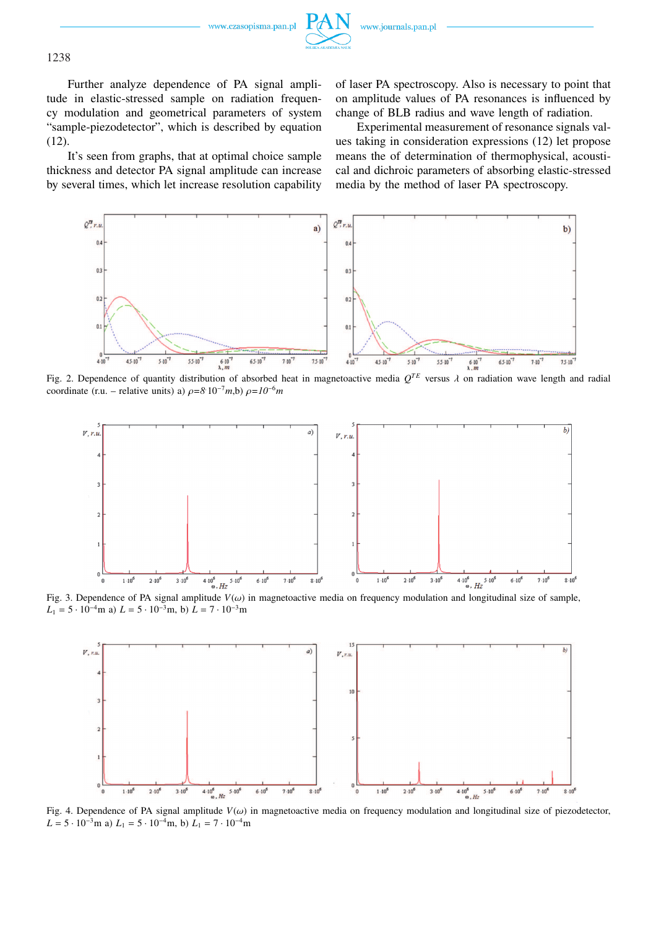



1238

Further analyze dependence of PA signal amplitude in elastic-stressed sample on radiation frequency modulation and geometrical parameters of system "sample-piezodetector", which is described by equation (12).

It's seen from graphs, that at optimal choice sample thickness and detector PA signal amplitude can increase by several times, which let increase resolution capability

of laser PA spectroscopy. Also is necessary to point that on amplitude values of PA resonances is influenced by change of BLB radius and wave length of radiation.

Experimental measurement of resonance signals values taking in consideration expressions (12) let propose means the of determination of thermophysical, acoustical and dichroic parameters of absorbing elastic-stressed media by the method of laser PA spectroscopy.



Fig. 2. Dependence of quantity distribution of absorbed heat in magnetoactive media  $Q^{TE}$  versus  $\lambda$  on radiation wave length and radial coordinate (r.u. – relative units) a)  $\rho = 8.10^{-7}$ *m*,b)  $\rho = 10^{-6}$ *m* 



Fig. 3. Dependence of PA signal amplitude *V*(ω) in magnetoactive media on frequency modulation and longitudinal size of sample,  $L_1 = 5 \cdot 10^{-4}$ m a)  $L = 5 \cdot 10^{-3}$ m, b)  $L = 7 \cdot 10^{-3}$ m



Fig. 4. Dependence of PA signal amplitude  $V(\omega)$  in magnetoactive media on frequency modulation and longitudinal size of piezodetector,  $L = 5 \cdot 10^{-3}$ m a)  $L_1 = 5 \cdot 10^{-4}$ m, b)  $L_1 = 7 \cdot 10^{-4}$ m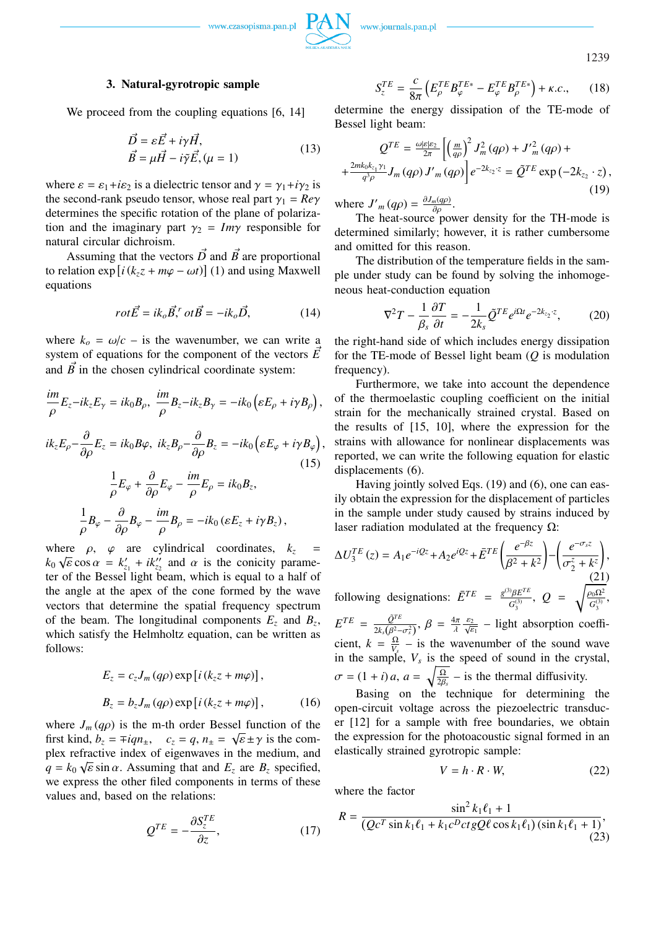



1239

### **3. Natural-gyrotropic sample**

We proceed from the coupling equations [6, 14]

$$
\vec{D} = \varepsilon \vec{E} + i\gamma \vec{H}, \n\vec{B} = \mu \vec{H} - i\gamma \vec{E}, (\mu = 1)
$$
\n(13)

where  $\varepsilon = \varepsilon_1 + i\varepsilon_2$  is a dielectric tensor and  $\gamma = \gamma_1 + i\gamma_2$  is the second-rank pseudo tensor, whose real part  $\gamma_1 = Re\gamma$ determines the specific rotation of the plane of polarization and the imaginary part  $\gamma_2 = Im\gamma$  responsible for natural circular dichroism.

Assuming that the vectors  $\vec{D}$  and  $\vec{B}$  are proportional Assuming<br>| to relation exp  $i(k_z z + m\varphi - \omega t)$  (1) and using Maxwell equations

$$
rot\vec{E} = ik_o \vec{B},^r \ ot\vec{B} = -ik_o \vec{D}, \qquad (14)
$$

where  $k_o = \omega/c$  – is the wavenumber, we can write a system of equations for the component of the vectors  $\vec{E}$ and  $\vec{B}$  in the chosen cylindrical coordinate system:

$$
\frac{im}{\rho}E_z-ik_zE_\gamma=ik_0B_\rho,\ \frac{im}{\rho}B_z-ik_zB_\gamma=-ik_0\left(\varepsilon E_\rho+i\gamma B_\rho\right),
$$

$$
ik_{z}E_{\rho}-\frac{\partial}{\partial\rho}E_{z} = ik_{0}B\varphi, \ ik_{z}B_{\rho}-\frac{\partial}{\partial\rho}B_{z} = -ik_{0}\left(\varepsilon E_{\varphi} + i\gamma B_{\varphi}\right),
$$
  
\n(15)  
\n
$$
\frac{1}{\rho}E_{\varphi} + \frac{\partial}{\partial\rho}E_{\varphi} - \frac{im}{\rho}E_{\rho} = ik_{0}B_{z},
$$
  
\n
$$
\frac{1}{\rho}B_{\varphi} - \frac{\partial}{\partial\rho}B_{\varphi} - \frac{im}{\rho}B_{\rho} = -ik_{0}\left(\varepsilon E_{z} + i\gamma B_{z}\right),
$$

where  $\rho$ ,  $\varphi$  are cylindrical coordinates,  $k_z =$  $k_0 \sqrt{\varepsilon} \cos \alpha = k'_{z_1} + ik''_{z_2}$  and  $\alpha$  is the conicity parameter of the Bessel light beam, which is equal to a half of the angle at the apex of the cone formed by the wave vectors that determine the spatial frequency spectrum of the beam. The longitudinal components  $E_z$  and  $B_z$ , which satisfy the Helmholtz equation, can be written as follows:

$$
E_z = c_z J_m (q\rho) \exp[i(k_z z + m\varphi)],
$$
  
\n
$$
B_z = b_z J_m (q\rho) \exp[i(k_z z + m\varphi)],
$$
 (16)

where  $J_m(q\rho)$  is the m-th order Bessel function of the first kind,  $b_z = \mp i q n_{\pm}, \quad c_z = q, n_{\pm} = \sqrt{\epsilon} \pm \gamma$  is the complex refractive index of eigenwaves in the medium, and  $q = k_0 \sqrt{\varepsilon} \sin \alpha$ . Assuming that and  $E_z$  are  $B_z$  specified, we express the other filed components in terms of these values and, based on the relations:

$$
Q^{TE} = -\frac{\partial S_{z}^{TE}}{\partial z},\tag{17}
$$

$$
S_z^{TE} = \frac{c}{8\pi} \left( E_{\rho}^{TE} B_{\varphi}^{TE*} - E_{\varphi}^{TE} B_{\rho}^{TE*} \right) + \kappa.c., \qquad (18)
$$

determine the energy dissipation of the TE-mode of Bessel light beam:

$$
Q^{TE} = \frac{\omega | \varepsilon | \varepsilon_2}{2\pi} \left[ \left( \frac{m}{q\rho} \right)^2 J_m^2(q\rho) + J'^2_m(q\rho) + \frac{2mk_0k_{z_1}\gamma_1}{q^3\rho} J_m(q\rho) J'_m(q\rho) \right] e^{-2k_{z_2} \cdot z} = \tilde{Q}^{TE} \exp(-2k_{z_2} \cdot z), \tag{19}
$$

where  $J'_m(q\rho) = \frac{\partial J_m(q\rho)}{\partial \rho}$ .

The heat-source power density for the TH-mode is determined similarly; however, it is rather cumbersome and omitted for this reason.

The distribution of the temperature fields in the sample under study can be found by solving the inhomogeneous heat-conduction equation

$$
\nabla^2 T - \frac{1}{\beta_s} \frac{\partial T}{\partial t} = -\frac{1}{2k_s} \tilde{Q}^{TE} e^{i\Omega t} e^{-2k_{z_2} \cdot z}, \tag{20}
$$

the right-hand side of which includes energy dissipation for the TE-mode of Bessel light beam (*Q* is modulation frequency).

Furthermore, we take into account the dependence of the thermoelastic coupling coefficient on the initial strain for the mechanically strained crystal. Based on the results of [15, 10], where the expression for the strains with allowance for nonlinear displacements was reported, we can write the following equation for elastic displacements (6).

Having jointly solved Eqs. (19) and (6), one can easily obtain the expression for the displacement of particles in the sample under study caused by strains induced by laser radiation modulated at the frequency  $Ω$ :

$$
\Delta U_3^{TE}(z) = A_1 e^{-iQz} + A_2 e^{iQz} + \bar{E}^{TE} \left( \frac{e^{-\beta z}}{\beta^2 + k^2} \right) - \left( \frac{e^{-\sigma_s z}}{\sigma_2^z + k^z} \right),
$$
  
\nfollowing designations:  $\bar{E}^{TE} = \frac{g^{(3)} \beta E^{TE}}{\sigma_3^{(3)}}, Q = \sqrt{\frac{\rho_0 \Omega^2}{\sigma_3^{(3)}}},$   
\n $E^{TE} = \frac{\tilde{Q}^{TE}}{2k_s(\beta^2 - \sigma_s^2)}, \beta = \frac{4\pi}{\lambda} \frac{\varepsilon_2}{\sqrt{\varepsilon_1}} - \text{light absorption coefficient, } k = \frac{\Omega}{V_s} - \text{is the wavenumber of the sound wave in the sample, } V_s \text{ is the speed of sound in the crystal,}$ 

$$
\sigma = (1 + i)a, \ a = \sqrt{\frac{\Omega}{2\beta_s}} - \text{ is the thermal diffusivity.}
$$

Basing on the technique for determining the open-circuit voltage across the piezoelectric transducer [12] for a sample with free boundaries, we obtain the expression for the photoacoustic signal formed in an elastically strained gyrotropic sample:

$$
V = h \cdot R \cdot W,\tag{22}
$$

where the factor

$$
R = \frac{\sin^2 k_1 \ell_1 + 1}{(Qc^T \sin k_1 \ell_1 + k_1 c^D c t g Q \ell \cos k_1 \ell_1)(\sin k_1 \ell_1 + 1)},
$$
\n(23)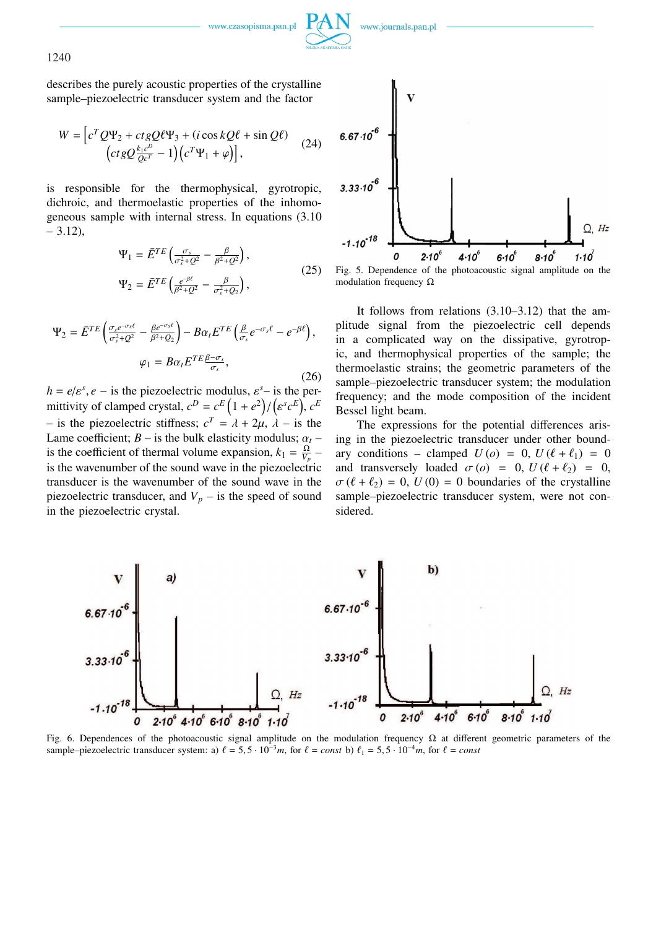

1240

describes the purely acoustic properties of the crystalline sample–piezoelectric transducer system and the factor

$$
W = \left[c^T Q \Psi_2 + ctg Q \ell \Psi_3 + (i \cos k Q \ell + \sin Q \ell) \right]
$$

$$
\left(ctg Q \frac{k_1 c^D}{Q c^T} - 1\right) \left(c^T \Psi_1 + \varphi\right)\right],
$$
(24)

is responsible for the thermophysical, gyrotropic, dichroic, and thermoelastic properties of the inhomogeneous sample with internal stress. In equations (3.10  $-3.12$ ),

$$
\Psi_1 = \bar{E}^{TE} \left( \frac{\sigma_s}{\sigma_s^2 + Q^2} - \frac{\beta}{\beta^2 + Q^2} \right),
$$
  
\n
$$
\Psi_2 = \bar{E}^{TE} \left( \frac{e^{-\beta \ell}}{\beta^2 + Q^2} - \frac{\beta}{\sigma_s^2 + Q_2} \right),
$$
\n(25)

$$
\Psi_2 = \bar{E}^{TE} \left( \frac{\sigma_s e^{-\sigma_s \ell}}{\sigma_s^2 + Q^2} - \frac{\beta e^{-\sigma_s \ell}}{\beta^2 + Q_2} \right) - B \alpha_t E^{TE} \left( \frac{\beta}{\sigma_s} e^{-\sigma_s \ell} - e^{-\beta \ell} \right),
$$

$$
\varphi_1 = B \alpha_t E^{TE} \frac{\beta - \sigma_s}{\sigma_s},
$$
(26)

 $h = e/\varepsilon^{s}$ ,  $e -$  is the piezoelectric modulus,  $\varepsilon^{s}$ – is the permittivity of clamped crystal,  $c^D = c^E (1 + e^2) / (e^s c^E)$ ,  $c^E$ – is the piezoelectric stiffness;  $c^T = \lambda + 2\mu$ ,  $\lambda$  – is the Lame coefficient;  $B -$  is the bulk elasticity modulus;  $\alpha_t$  – is the coefficient of thermal volume expansion,  $k_1 = \frac{\Omega}{V}$  $\frac{\Omega}{V_p}$  – is the wavenumber of the sound wave in the piezoelectric transducer is the wavenumber of the sound wave in the piezoelectric transducer, and  $V_p$  – is the speed of sound in the piezoelectric crystal.





It follows from relations (3.10–3.12) that the amplitude signal from the piezoelectric cell depends in a complicated way on the dissipative, gyrotropic, and thermophysical properties of the sample; the thermoelastic strains; the geometric parameters of the sample–piezoelectric transducer system; the modulation frequency; and the mode composition of the incident Bessel light beam.

The expressions for the potential differences arising in the piezoelectric transducer under other boundary conditions – clamped  $U(o) = 0$ ,  $U(\ell + \ell_1) = 0$ and transversely loaded  $\sigma$  (*o*) = 0,  $U(\ell + \ell_2) = 0$ ,  $\sigma(\ell + \ell_2) = 0$ ,  $U(0) = 0$  boundaries of the crystalline sample–piezoelectric transducer system, were not considered.



Fig. 6. Dependences of the photoacoustic signal amplitude on the modulation frequency  $\Omega$  at different geometric parameters of the sample–piezoelectric transducer system: a)  $\ell = 5, 5 \cdot 10^{-3}m$ , for  $\ell = const$  b)  $\ell_1 = 5, 5 \cdot 10^{-4}m$ , for  $\ell = const$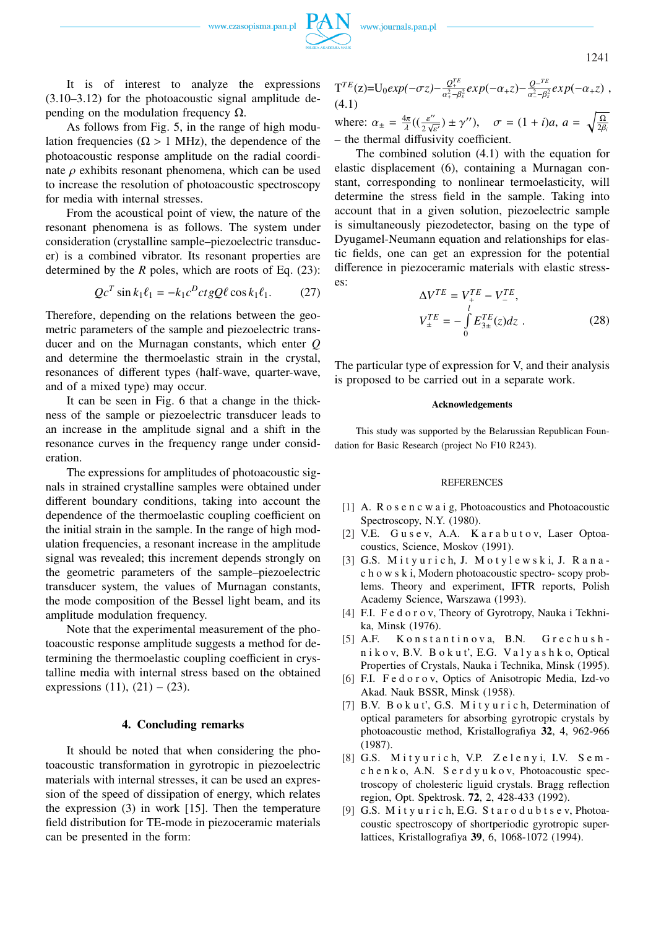



1241

It is of interest to analyze the expressions (3.10–3.12) for the photoacoustic signal amplitude depending on the modulation frequency  $Ω$ .

As follows from Fig. 5, in the range of high modulation frequencies ( $Ω > 1$  MHz), the dependence of the photoacoustic response amplitude on the radial coordinate  $\rho$  exhibits resonant phenomena, which can be used to increase the resolution of photoacoustic spectroscopy for media with internal stresses.

From the acoustical point of view, the nature of the resonant phenomena is as follows. The system under consideration (crystalline sample–piezoelectric transducer) is a combined vibrator. Its resonant properties are determined by the *R* poles, which are roots of Eq. (23):

$$
QcT sin k1l1 = -k1cDct gQl cos k1l1. (27)
$$

Therefore, depending on the relations between the geometric parameters of the sample and piezoelectric transducer and on the Murnagan constants, which enter *Q* and determine the thermoelastic strain in the crystal, resonances of different types (half-wave, quarter-wave, and of a mixed type) may occur.

It can be seen in Fig. 6 that a change in the thickness of the sample or piezoelectric transducer leads to an increase in the amplitude signal and a shift in the resonance curves in the frequency range under consideration.

The expressions for amplitudes of photoacoustic signals in strained crystalline samples were obtained under different boundary conditions, taking into account the dependence of the thermoelastic coupling coefficient on the initial strain in the sample. In the range of high modulation frequencies, a resonant increase in the amplitude signal was revealed; this increment depends strongly on the geometric parameters of the sample–piezoelectric transducer system, the values of Murnagan constants, the mode composition of the Bessel light beam, and its amplitude modulation frequency.

Note that the experimental measurement of the photoacoustic response amplitude suggests a method for determining the thermoelastic coupling coefficient in crystalline media with internal stress based on the obtained expressions  $(11)$ ,  $(21) - (23)$ .

## **4. Concluding remarks**

It should be noted that when considering the photoacoustic transformation in gyrotropic in piezoelectric materials with internal stresses, it can be used an expression of the speed of dissipation of energy, which relates the expression (3) in work [15]. Then the temperature field distribution for TE-mode in piezoceramic materials can be presented in the form:

$$
T^{TE}(z) = U_0 exp(-\sigma z) - \frac{Q_{+}^{TE}}{\alpha_{+}^2 - \beta_{s}^2} exp(-\alpha_{+} z) - \frac{Q_{-}^{TE}}{\alpha_{-}^2 - \beta_{s}^2} exp(-\alpha_{+} z) ,
$$
\n(4.1)

where:  $\alpha_{\pm} = \frac{4\pi}{\lambda}$  $rac{4\pi}{\lambda}((\frac{\varepsilon^{\prime\prime}}{2\sqrt{\varepsilon}}$  $\frac{\varepsilon''}{2\sqrt{\varepsilon'}}$   $\pm \gamma''$ ,  $\sigma = (1 + i)a$ ,  $a = \sqrt{\frac{\Omega}{2\beta}}$ 2β*<sup>i</sup>* – the thermal diffusivity coefficient.

The combined solution (4.1) with the equation for elastic displacement (6), containing a Murnagan constant, corresponding to nonlinear termoelasticity, will determine the stress field in the sample. Taking into account that in a given solution, piezoelectric sample is simultaneously piezodetector, basing on the type of Dyugamel-Neumann equation and relationships for elastic fields, one can get an expression for the potential difference in piezoceramic materials with elastic stresses:

$$
\Delta V^{TE} = V_{+}^{TE} - V_{-}^{TE},
$$
  
\n
$$
V_{\pm}^{TE} = -\int_{0}^{l} E_{3\pm}^{TE}(z)dz .
$$
 (28)

The particular type of expression for V, and their analysis is proposed to be carried out in a separate work.

#### **Acknowledgements**

This study was supported by the Belarussian Republican Foundation for Basic Research (project No F10 R243).

#### REFERENCES

- [1] A. R o s e n c w a i g, Photoacoustics and Photoacoustic Spectroscopy, N.Y. (1980).
- [2] V.E. Gusev, A.A. Karabutov, Laser Optoacoustics, Science, Moskov (1991).
- [3] G.S. Mityurich, J. Motylewski, J. Ranac h o w s k i, Modern photoacoustic spectro- scopy problems. Theory and experiment, IFTR reports, Polish Academy Science, Warszawa (1993).
- [4] F.I. Fed or ov, Theory of Gyrotropy, Nauka i Tekhnika, Minsk (1976).
- [5] A.F. Konstantinova, B.N. Grechushn i k o v, B.V. B o k u t', E.G. Va l y a s h k o, Optical Properties of Crystals, Nauka i Technika, Minsk (1995).
- [6] F.I. Fed or ov, Optics of Anisotropic Media, Izd-vo Akad. Nauk BSSR, Minsk (1958).
- [7] B.V. B o k u t', G.S. M i t y u r i c h, Determination of optical parameters for absorbing gyrotropic crystals by photoacoustic method, Kristallografiya **32**, 4, 962-966 (1987).
- [8] G.S. Mityurich, V.P. Zelenyi, I.V. Semc h e n k o, A.N. S e r d y u k o v, Photoacoustic spectroscopy of cholesteric liguid crystals. Bragg reflection region, Opt. Spektrosk. **72**, 2, 428-433 (1992).
- [9] G.S. M i t y u r i c h, E.G. S t a r o d u b t s e v, Photoacoustic spectroscopy of shortperiodic gyrotropic superlattices, Kristallografiya **39**, 6, 1068-1072 (1994).